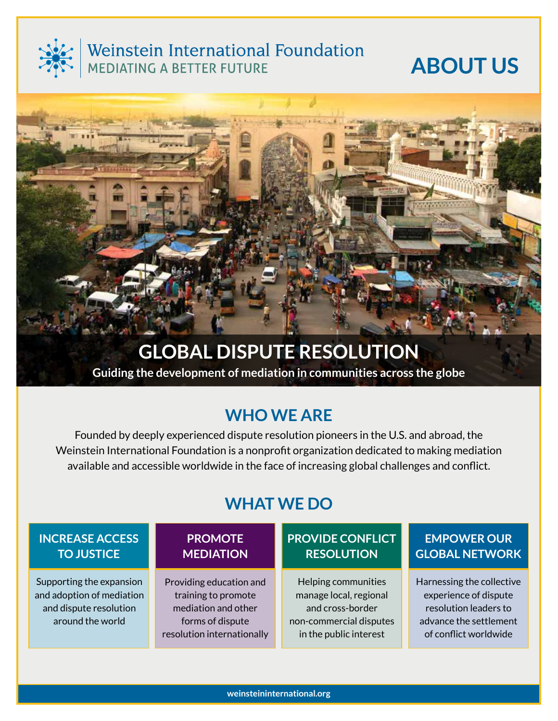

# Weinstein International Foundation<br>MEDIATING A BETTER FUTURE

# **About Us**



**Guiding the development of mediation in communities across the globe**

# **WHO WE ARE**

Founded by deeply experienced dispute resolution pioneers in the U.S. and abroad, the Weinstein International Foundation is a nonprofit organization dedicated to making mediation available and accessible worldwide in the face of increasing global challenges and conflict.

# **WHat WE do**

## **Increase Access to Justice**

Supporting the expansion and adoption of mediation and dispute resolution around the world

## **Promote Mediation**

Providing education and training to promote mediation and other forms of dispute resolution internationally

## **Provide Conflict Resolution**

Helping communities manage local, regional and cross-border non-commercial disputes in the public interest

## **EMPOWER OUR GLOBAL NETWORK**

Harnessing the collective experience of dispute resolution leaders to advance the settlement of conflict worldwide